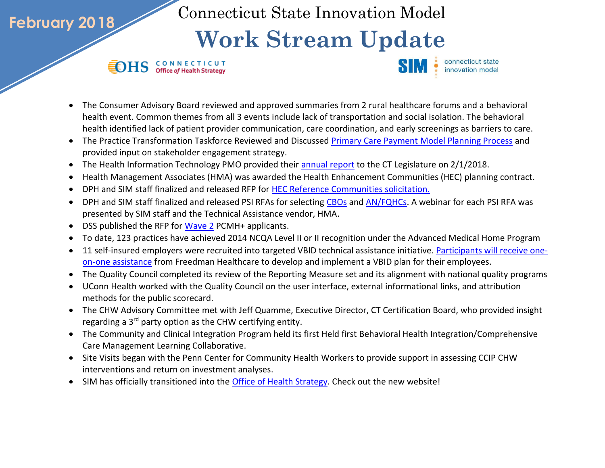Connecticut State Innovation Model

## **Work Stream Update**

**SEDHS** CONNECTICUT

**February 2018**



- The Consumer Advisory Board reviewed and approved summaries from 2 rural healthcare forums and a behavioral health event. Common themes from all 3 events include lack of transportation and social isolation. The behavioral health identified lack of patient provider communication, care coordination, and early screenings as barriers to care.
- The Practice Transformation Taskforce Reviewed and Discussed [Primary Care Payment Model Planning Process](http://www.healthreform.ct.gov/ohri/lib/ohri/pttf/2018/2-27/presentation_pttf_20180227_draft4.pdf) and provided input on stakeholder engagement strategy.
- The Health Information Technology PMO provided their [annual report](http://portal.ct.gov/Office-of-the-Lt-Governor/Health-IT-Advisory-Council/Health-IT-Reports-and-Recommendations) to the CT Legislature on 2/1/2018.
- Health Management Associates (HMA) was awarded the Health Enhancement Communities (HEC) planning contract.
- DPH and SIM staff finalized and released RFP for [HEC Reference Communities solicitation.](https://biznet.ct.gov/SCP_Documents/Bids/45463/HEC_ReferenceCommunities_RFP_2-6_18_Final.pdf?mc_cid=c92760a8eb&mc_eid=cedf457c7b)
- DPH and SIM staff finalized and released PSI RFAs for selecting [CBOs](https://biznet.ct.gov/SCP_Documents/Bids/45454/Prevention_Service_Initiative_CBOs_RFP_Final.pdf) an[d AN/FQHCs.](https://biznet.ct.gov/SCP_Documents/Bids/45463/HEC_ReferenceCommunities_RFP_2-6_18_Final.pdf?mc_cid=c92760a8eb&mc_eid=cedf457c7b) A webinar for each PSI RFA was presented by SIM staff and the Technical Assistance vendor, HMA.
- DSS published the RFP for [Wave 2](http://portal.ct.gov/DSS/Fiscal/Request-For-Proposals---Quotations---Applications/Request-For-Proposals---Quotations---Applications) PCMH+ applicants.
- To date, 123 practices have achieved 2014 NCQA Level II or II recognition under the Advanced Medical Home Program
- 11 self-insured employers were recruited into targeted VBID technical assistance initiative[. Participants will receive one](http://www.healthreform.ct.gov/ohri/lib/ohri/work_groups/vbid/ta_opportunity_fact_sheet_final2.pdf)[on-one assistance](http://www.healthreform.ct.gov/ohri/lib/ohri/work_groups/vbid/ta_opportunity_fact_sheet_final2.pdf) from Freedman Healthcare to develop and implement a VBID plan for their employees.
- The Quality Council completed its review of the Reporting Measure set and its alignment with national quality programs
- UConn Health worked with the Quality Council on the user interface, external informational links, and attribution methods for the public scorecard.
- The CHW Advisory Committee met with Jeff Quamme, Executive Director, CT Certification Board, who provided insight regarding a 3<sup>rd</sup> party option as the CHW certifying entity.
- The Community and Clinical Integration Program held its first Held first Behavioral Health Integration/Comprehensive Care Management Learning Collaborative.
- Site Visits began with the Penn Center for Community Health Workers to provide support in assessing CCIP CHW interventions and return on investment analyses.
- SIM has officially transitioned into the [Office of Health Strategy.](http://portal.ct.gov/ohs) Check out the new website!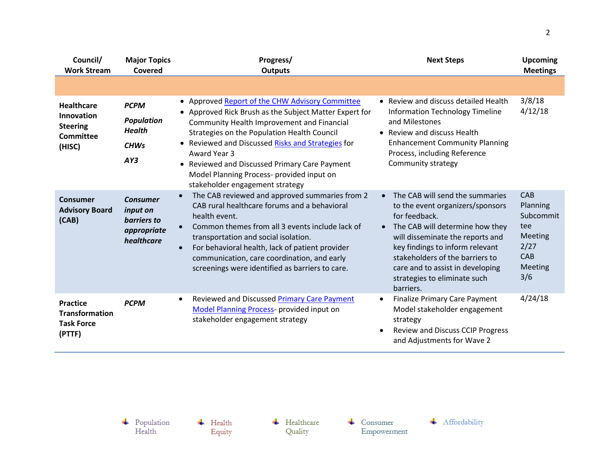| Council/<br><b>Work Stream</b>                                            | <b>Major Topics</b><br>Covered                                          | Progress/<br><b>Outputs</b>                                                                                                                                                                                                                                                                                                                                                                                         | <b>Next Steps</b>                                                                                                                                                                                                                                                                                                                 | <b>Upcoming</b><br><b>Meetings</b>                                              |
|---------------------------------------------------------------------------|-------------------------------------------------------------------------|---------------------------------------------------------------------------------------------------------------------------------------------------------------------------------------------------------------------------------------------------------------------------------------------------------------------------------------------------------------------------------------------------------------------|-----------------------------------------------------------------------------------------------------------------------------------------------------------------------------------------------------------------------------------------------------------------------------------------------------------------------------------|---------------------------------------------------------------------------------|
|                                                                           |                                                                         |                                                                                                                                                                                                                                                                                                                                                                                                                     |                                                                                                                                                                                                                                                                                                                                   |                                                                                 |
| <b>Healthcare</b><br>Innovation<br><b>Steering</b><br>Committee<br>(HISC) | <b>PCPM</b><br><b>Population</b><br><b>Health</b><br><b>CHWs</b><br>AY3 | • Approved Report of the CHW Advisory Committee<br>• Approved Rick Brush as the Subject Matter Expert for<br><b>Community Health Improvement and Financial</b><br>Strategies on the Population Health Council<br>• Reviewed and Discussed Risks and Strategies for<br>Award Year 3<br>• Reviewed and Discussed Primary Care Payment<br>Model Planning Process- provided input on<br>stakeholder engagement strategy | • Review and discuss detailed Health<br><b>Information Technology Timeline</b><br>and Milestones<br>• Review and discuss Health<br><b>Enhancement Community Planning</b><br>Process, including Reference<br>Community strategy                                                                                                    | 3/8/18<br>4/12/18                                                               |
| Consumer<br><b>Advisory Board</b><br>(CAB)                                | <b>Consumer</b><br>input on<br>barriers to<br>appropriate<br>healthcare | The CAB reviewed and approved summaries from 2<br>$\bullet$<br>CAB rural healthcare forums and a behavioral<br>health event.<br>Common themes from all 3 events include lack of<br>$\bullet$<br>transportation and social isolation.<br>For behavioral health, lack of patient provider<br>$\bullet$<br>communication, care coordination, and early<br>screenings were identified as barriers to care.              | The CAB will send the summaries<br>$\bullet$<br>to the event organizers/sponsors<br>for feedback.<br>• The CAB will determine how they<br>will disseminate the reports and<br>key findings to inform relevant<br>stakeholders of the barriers to<br>care and to assist in developing<br>strategies to eliminate such<br>barriers. | CAB<br>Planning<br>Subcommit<br>tee<br>Meeting<br>2/27<br>CAB<br>Meeting<br>3/6 |
| <b>Practice</b><br><b>Transformation</b><br><b>Task Force</b><br>(PTTF)   | <b>PCPM</b>                                                             | Reviewed and Discussed Primary Care Payment<br>$\bullet$<br>Model Planning Process- provided input on<br>stakeholder engagement strategy                                                                                                                                                                                                                                                                            | <b>Finalize Primary Care Payment</b><br>$\bullet$<br>Model stakeholder engagement<br>strategy<br><b>Review and Discuss CCIP Progress</b><br>and Adjustments for Wave 2                                                                                                                                                            | 4/24/18                                                                         |

 $\leftarrow$  Consumer Empowerment

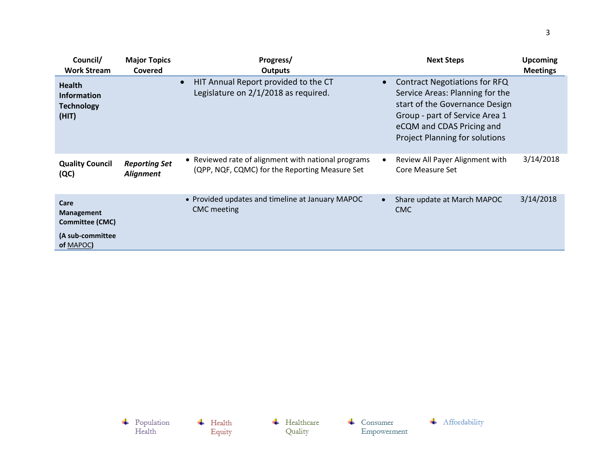| Council/<br><b>Work Stream</b>                                    | <b>Major Topics</b><br>Covered           | Progress/<br><b>Outputs</b>                                                                           |           | <b>Next Steps</b>                                                                                                                                                                                                 | <b>Upcoming</b><br><b>Meetings</b> |
|-------------------------------------------------------------------|------------------------------------------|-------------------------------------------------------------------------------------------------------|-----------|-------------------------------------------------------------------------------------------------------------------------------------------------------------------------------------------------------------------|------------------------------------|
| <b>Health</b><br><b>Information</b><br><b>Technology</b><br>(HIT) |                                          | HIT Annual Report provided to the CT<br>Legislature on 2/1/2018 as required.                          | $\bullet$ | <b>Contract Negotiations for RFQ</b><br>Service Areas: Planning for the<br>start of the Governance Design<br>Group - part of Service Area 1<br>eCQM and CDAS Pricing and<br><b>Project Planning for solutions</b> |                                    |
| <b>Quality Council</b><br>(QC)                                    | <b>Reporting Set</b><br><b>Alignment</b> | • Reviewed rate of alignment with national programs<br>(QPP, NQF, CQMC) for the Reporting Measure Set | $\bullet$ | Review All Payer Alignment with<br>Core Measure Set                                                                                                                                                               | 3/14/2018                          |
| Care<br><b>Management</b><br><b>Committee (CMC)</b>               |                                          | • Provided updates and timeline at January MAPOC<br><b>CMC</b> meeting                                | $\bullet$ | Share update at March MAPOC<br><b>CMC</b>                                                                                                                                                                         | 3/14/2018                          |
| (A sub-committee<br>of MAPOC)                                     |                                          |                                                                                                       |           |                                                                                                                                                                                                                   |                                    |

 $\begin{array}{c} \text{\textcolor{red}{\textbf{+}}} & \text{Population} \\ \text{Health} \end{array}$ + Affordability  $\leftarrow$  Healthcare  $\leftarrow$  Health  $\leftarrow$  Consumer Quality Empowerment Equity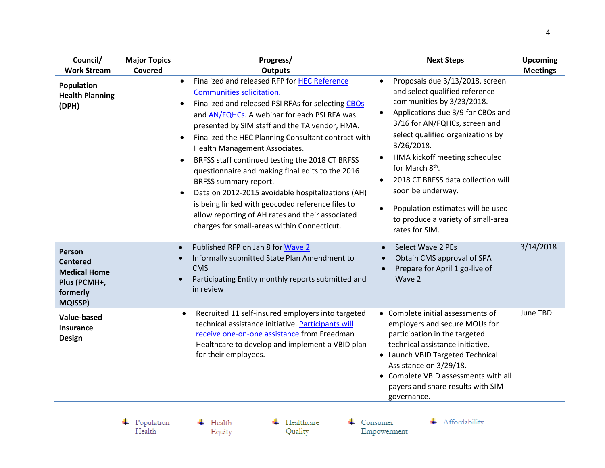| Council/<br><b>Work Stream</b>                                                                 | <b>Major Topics</b><br><b>Covered</b> | Progress/<br><b>Outputs</b>                                                                                                                                                                                                                                                                                                                                                                                                                                                                                                                                                                                                                                                                                                    | <b>Next Steps</b>                                                                                                                                                                                                                                                                                                                                                                                                                                                         | <b>Upcoming</b><br><b>Meetings</b> |
|------------------------------------------------------------------------------------------------|---------------------------------------|--------------------------------------------------------------------------------------------------------------------------------------------------------------------------------------------------------------------------------------------------------------------------------------------------------------------------------------------------------------------------------------------------------------------------------------------------------------------------------------------------------------------------------------------------------------------------------------------------------------------------------------------------------------------------------------------------------------------------------|---------------------------------------------------------------------------------------------------------------------------------------------------------------------------------------------------------------------------------------------------------------------------------------------------------------------------------------------------------------------------------------------------------------------------------------------------------------------------|------------------------------------|
| Population<br><b>Health Planning</b><br>(DPH)                                                  |                                       | Finalized and released RFP for HEC Reference<br>$\bullet$<br>Communities solicitation.<br>Finalized and released PSI RFAs for selecting CBOs<br>$\bullet$<br>and AN/FQHCs. A webinar for each PSI RFA was<br>presented by SIM staff and the TA vendor, HMA.<br>Finalized the HEC Planning Consultant contract with<br>٠<br>Health Management Associates.<br>BRFSS staff continued testing the 2018 CT BRFSS<br>$\bullet$<br>questionnaire and making final edits to the 2016<br>BRFSS summary report.<br>Data on 2012-2015 avoidable hospitalizations (AH)<br>$\bullet$<br>is being linked with geocoded reference files to<br>allow reporting of AH rates and their associated<br>charges for small-areas within Connecticut. | Proposals due 3/13/2018, screen<br>$\bullet$<br>and select qualified reference<br>communities by 3/23/2018.<br>Applications due 3/9 for CBOs and<br>3/16 for AN/FQHCs, screen and<br>select qualified organizations by<br>3/26/2018.<br>HMA kickoff meeting scheduled<br>for March 8 <sup>th</sup> .<br>2018 CT BRFSS data collection will<br>$\bullet$<br>soon be underway.<br>Population estimates will be used<br>to produce a variety of small-area<br>rates for SIM. |                                    |
| Person<br><b>Centered</b><br><b>Medical Home</b><br>Plus (PCMH+,<br>formerly<br><b>MQISSP)</b> |                                       | Published RFP on Jan 8 for Wave 2<br>$\bullet$<br>Informally submitted State Plan Amendment to<br><b>CMS</b><br>Participating Entity monthly reports submitted and<br>in review                                                                                                                                                                                                                                                                                                                                                                                                                                                                                                                                                | Select Wave 2 PEs<br>Obtain CMS approval of SPA<br>Prepare for April 1 go-live of<br>Wave 2                                                                                                                                                                                                                                                                                                                                                                               | 3/14/2018                          |
| Value-based<br><b>Insurance</b><br><b>Design</b>                                               |                                       | Recruited 11 self-insured employers into targeted<br>$\bullet$<br>technical assistance initiative. Participants will<br>receive one-on-one assistance from Freedman<br>Healthcare to develop and implement a VBID plan<br>for their employees.                                                                                                                                                                                                                                                                                                                                                                                                                                                                                 | • Complete initial assessments of<br>employers and secure MOUs for<br>participation in the targeted<br>technical assistance initiative.<br>• Launch VBID Targeted Technical<br>Assistance on 3/29/18.<br>Complete VBID assessments with all<br>payers and share results with SIM<br>governance.                                                                                                                                                                           | June TBD                           |

 $\begin{tabular}{c} \textbf{4} \quad Population \\ Health \end{tabular}$ 

 $\overline{\phantom{a}}$  Health Equity  $\leftarrow$  Healthcare Quality

 $\leftarrow$  Consumer Empowerment + Affordability

 $\overline{4}$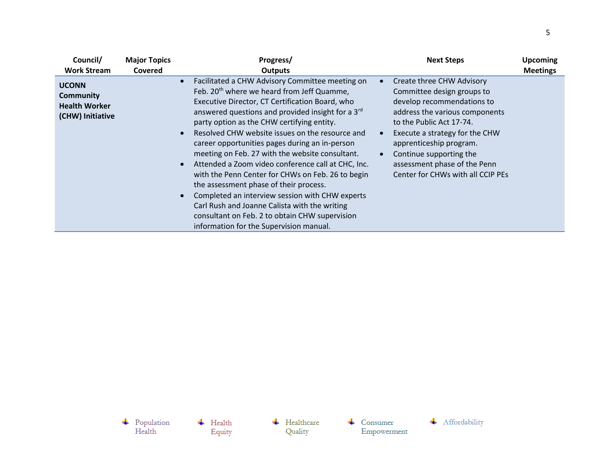| Council/                                                                     | <b>Major Topics</b> | Progress/                                                                                                                                                                                                                                                                                                                                                                                                                                                                                                                                                                                                                                                                                                                                                                                 | <b>Next Steps</b>                                                                                                                                                                                                                                                                                                | <b>Upcoming</b> |
|------------------------------------------------------------------------------|---------------------|-------------------------------------------------------------------------------------------------------------------------------------------------------------------------------------------------------------------------------------------------------------------------------------------------------------------------------------------------------------------------------------------------------------------------------------------------------------------------------------------------------------------------------------------------------------------------------------------------------------------------------------------------------------------------------------------------------------------------------------------------------------------------------------------|------------------------------------------------------------------------------------------------------------------------------------------------------------------------------------------------------------------------------------------------------------------------------------------------------------------|-----------------|
| <b>Work Stream</b>                                                           | <b>Covered</b>      | <b>Outputs</b>                                                                                                                                                                                                                                                                                                                                                                                                                                                                                                                                                                                                                                                                                                                                                                            |                                                                                                                                                                                                                                                                                                                  | <b>Meetings</b> |
| <b>UCONN</b><br><b>Community</b><br><b>Health Worker</b><br>(CHW) Initiative |                     | Facilitated a CHW Advisory Committee meeting on<br>Feb. 20 <sup>th</sup> where we heard from Jeff Quamme,<br>Executive Director, CT Certification Board, who<br>answered questions and provided insight for a 3 <sup>rd</sup><br>party option as the CHW certifying entity.<br>Resolved CHW website issues on the resource and<br>career opportunities pages during an in-person<br>meeting on Feb. 27 with the website consultant.<br>Attended a Zoom video conference call at CHC, Inc.<br>with the Penn Center for CHWs on Feb. 26 to begin<br>the assessment phase of their process.<br>Completed an interview session with CHW experts<br>Carl Rush and Joanne Calista with the writing<br>consultant on Feb. 2 to obtain CHW supervision<br>information for the Supervision manual. | Create three CHW Advisory<br>Committee design groups to<br>develop recommendations to<br>address the various components<br>to the Public Act 17-74.<br>Execute a strategy for the CHW<br>apprenticeship program.<br>Continue supporting the<br>assessment phase of the Penn<br>Center for CHWs with all CCIP PEs |                 |

 $\overline{\phantom{a}}$  Health Equity

 $\leftarrow$  Healthcare Quality

 $\leftarrow$  Consumer Empowerment

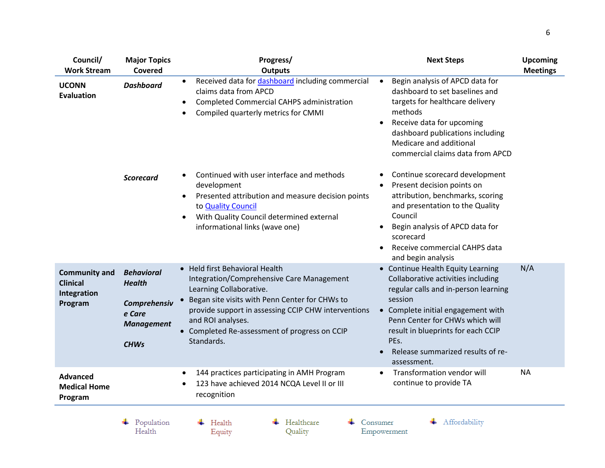| Council/<br><b>Work Stream</b>                                    | <b>Major Topics</b><br>Covered                                                                   | Progress/<br><b>Outputs</b>                                                                                                                                                                                                                                                                         | <b>Next Steps</b>                                                                                                                                                                                                                                                                                     | <b>Upcoming</b><br><b>Meetings</b> |
|-------------------------------------------------------------------|--------------------------------------------------------------------------------------------------|-----------------------------------------------------------------------------------------------------------------------------------------------------------------------------------------------------------------------------------------------------------------------------------------------------|-------------------------------------------------------------------------------------------------------------------------------------------------------------------------------------------------------------------------------------------------------------------------------------------------------|------------------------------------|
| <b>UCONN</b><br><b>Evaluation</b>                                 | <b>Dashboard</b>                                                                                 | Received data for dashboard including commercial<br>٠<br>claims data from APCD<br><b>Completed Commercial CAHPS administration</b><br>٠<br>Compiled quarterly metrics for CMMI                                                                                                                      | Begin analysis of APCD data for<br>$\bullet$<br>dashboard to set baselines and<br>targets for healthcare delivery<br>methods<br>Receive data for upcoming<br>$\bullet$<br>dashboard publications including<br>Medicare and additional<br>commercial claims data from APCD                             |                                    |
|                                                                   | <b>Scorecard</b>                                                                                 | Continued with user interface and methods<br>development<br>Presented attribution and measure decision points<br>$\bullet$<br>to <b>Quality Council</b><br>With Quality Council determined external<br>$\bullet$<br>informational links (wave one)                                                  | Continue scorecard development<br>$\bullet$<br>Present decision points on<br>attribution, benchmarks, scoring<br>and presentation to the Quality<br>Council<br>Begin analysis of APCD data for<br>$\bullet$<br>scorecard<br>Receive commercial CAHPS data<br>and begin analysis                       |                                    |
| <b>Community and</b><br><b>Clinical</b><br>Integration<br>Program | <b>Behavioral</b><br><b>Health</b><br>Comprehensiv<br>e Care<br><b>Management</b><br><b>CHWs</b> | • Held first Behavioral Health<br>Integration/Comprehensive Care Management<br>Learning Collaborative.<br>Began site visits with Penn Center for CHWs to<br>provide support in assessing CCIP CHW interventions<br>and ROI analyses.<br>• Completed Re-assessment of progress on CCIP<br>Standards. | • Continue Health Equity Learning<br>Collaborative activities including<br>regular calls and in-person learning<br>session<br>• Complete initial engagement with<br>Penn Center for CHWs which will<br>result in blueprints for each CCIP<br>PEs.<br>Release summarized results of re-<br>assessment. | N/A                                |
| <b>Advanced</b><br><b>Medical Home</b><br>Program                 |                                                                                                  | 144 practices participating in AMH Program<br>$\bullet$<br>123 have achieved 2014 NCQA Level II or III<br>recognition                                                                                                                                                                               | Transformation vendor will<br>$\bullet$<br>continue to provide TA                                                                                                                                                                                                                                     | <b>NA</b>                          |
|                                                                   | Population<br>Health                                                                             | Healthcare<br>Health<br>Quality<br>Equity                                                                                                                                                                                                                                                           | Affordability<br>Consumer<br>Empowerment                                                                                                                                                                                                                                                              |                                    |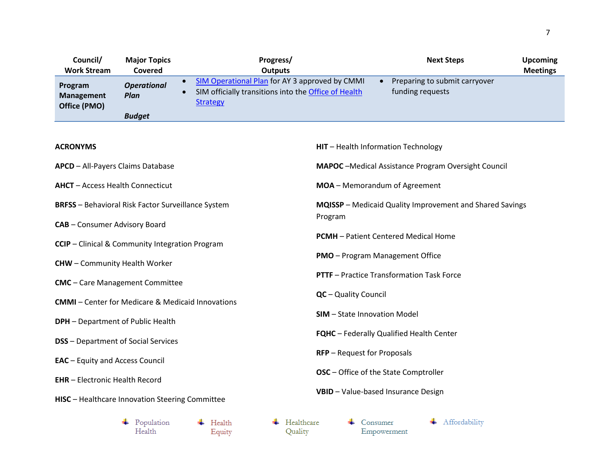| Council/                                     | <b>Major Topics</b>        | Progress/                                                                                                                 | <b>Next Steps</b>                                 | <b>Upcoming</b> |
|----------------------------------------------|----------------------------|---------------------------------------------------------------------------------------------------------------------------|---------------------------------------------------|-----------------|
| <b>Work Stream</b>                           | Covered                    | <b>Outputs</b>                                                                                                            |                                                   | <b>Meetings</b> |
| Program<br><b>Management</b><br>Office (PMO) | <b>Operational</b><br>Plan | SIM Operational Plan for AY 3 approved by CMMI<br>SIM officially transitions into the Office of Health<br><b>Strategy</b> | Preparing to submit carryover<br>funding requests |                 |
|                                              | <b>Budget</b>              |                                                                                                                           |                                                   |                 |

## **ACRONYMS**

| <b>APCD</b> - All-Payers Claims Database                  | <b>MAPOC</b> - Medical Assistance Program Oversight Council     |
|-----------------------------------------------------------|-----------------------------------------------------------------|
| <b>AHCT</b> - Access Health Connecticut                   | MOA - Memorandum of Agreement                                   |
| <b>BRFSS</b> - Behavioral Risk Factor Surveillance System | <b>MQISSP</b> – Medicaid Quality Improvement and Shared Savings |
| CAB - Consumer Advisory Board                             | Program                                                         |
| <b>CCIP</b> – Clinical & Community Integration Program    | <b>PCMH</b> – Patient Centered Medical Home                     |
| <b>CHW</b> - Community Health Worker                      | <b>PMO</b> – Program Management Office                          |
| <b>CMC</b> - Care Management Committee                    | <b>PTTF</b> – Practice Transformation Task Force                |
|                                                           |                                                                 |

- **CMMI** Center for Medicare & Medicaid Innovations
- **DPH** Department of Public Health

- **DSS** Department of Social Services
- **EAC** Equity and Access Council
- **EHR** Electronic Health Record
- **HISC** Healthcare Innovation Steering Committee
	- $\leftarrow$  Population Health

 $\leftarrow$  Health Equity

 $\leftarrow$  Healthcare Quality

 $\leftarrow$  Consumer Empowerment

**FQHC** – Federally Qualified Health Center

**OSC** – Office of the State Comptroller

**VBID** – Value-based Insurance Design

**HIT** – Health Information Technology

**QC** – Quality Council

**SIM** – State Innovation Model

**RFP** – Request for Proposals

+ Affordability